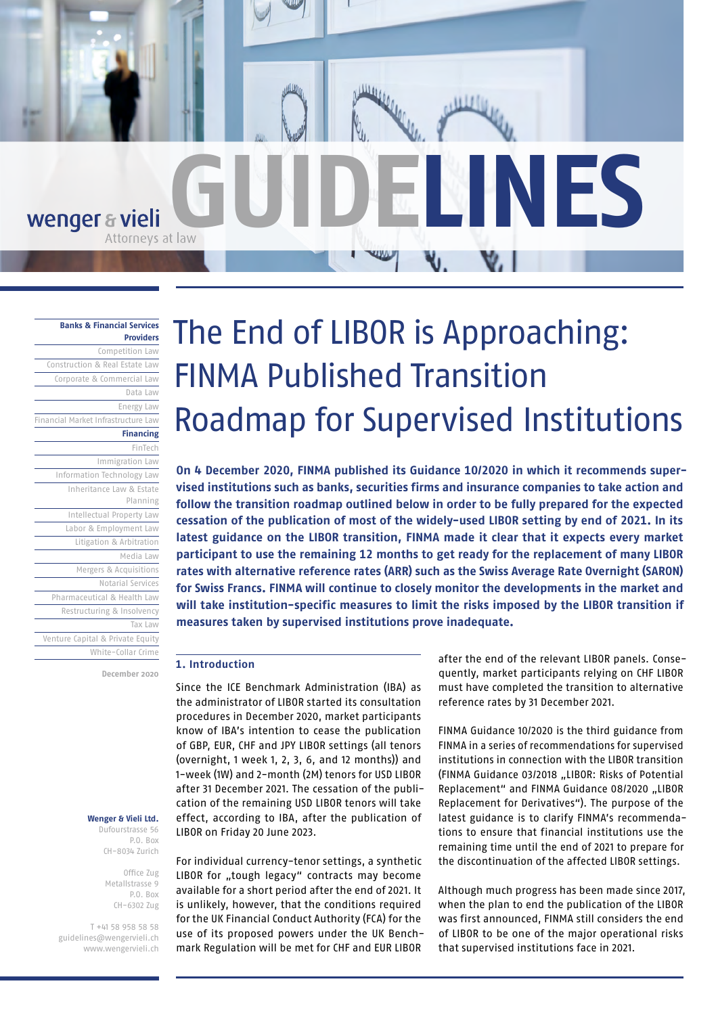

# **[Banks & Financial Services](https://www.wengervieli.ch/en-us/expertise/banken-finanzdienstleister)**

**[Providers](https://www.wengervieli.ch/en-us/expertise/banken-finanzdienstleister)** [Competition Law](https://www.wengervieli.ch/en-us/expertise/wettbewerbsrecht) [Construction & Real Estate Law](https://www.wengervieli.ch/en-us/expertise/bau-immobilienrecht) [Corporate & Commercial Law](https://www.wengervieli.ch/en-us/expertise/gesellschafts-handelsrecht) [Data Law](https://www.wengervieli.ch/en-us/expertise/data-law) [Energy Law](https://www.wengervieli.ch/en-us/expertise/energierecht) [Financial Market Infrastructure Law](https://www.wengervieli.ch/en-us/expertise/finanzmarktinfrastrukturrecht) **[Financing](https://www.wengervieli.ch/en-us/expertise/finanzierungen)** [FinTech](https://www.wengervieli.ch/en-us/expertise/fintech) [Immigration Law](https://www.wengervieli.ch/en-us/expertise/immigration-law)  [Information Technology Law](https://www.wengervieli.ch/en-us/expertise/technologierecht-(it)) [Inheritance Law & Estate](https://www.wengervieli.ch/en-us/expertise/erbrecht-nachlassplanung)  [Planning](https://www.wengervieli.ch/en-us/expertise/erbrecht-nachlassplanung) [Intellectual Property Law](https://www.wengervieli.ch/en-us/expertise/immaterialguterrecht) [Labor & Employment Law](https://www.wengervieli.ch/en-us/expertise/arbeitsrecht) [Litigation & Arbitration](https://www.wengervieli.ch/en-us/expertise/prozessfuhrung-schiedsgerichtsbarkeit) [Media Law](https://www.wengervieli.ch/en-us/expertise/medienrecht) [Mergers & Acquisitions](https://www.wengervieli.ch/en-us/expertise/mergers-acquisitions) [Notarial Services](https://www.wengervieli.ch/en-us/expertise/notariat) [Pharmaceutical & Health Law](https://www.wengervieli.ch/en-us/expertise/pharma-gesundheitsrecht) [Restructuring & Insolvency](https://www.wengervieli.ch/en-us/expertise/restrukturierung-insolvenz) [Tax Law](https://www.wengervieli.ch/en-us/expertise/steuerrecht) [Venture Capital & Private Equity](https://www.wengervieli.ch/en-us/expertise/venture-capital-private-equity) [White-Collar Crime](https://www.wengervieli.ch/en-us/expertise/wirtschaftsstrafrecht)

**December 2020**

#### **Wenger & Vieli Ltd.**

Dufourstrasse 56 P.O. Box CH-8034 Zurich

> Office Zug Metallstrasse 9 P.O. Box CH-6302 Zug

T +41 58 958 58 58 [guidelines@wengervieli.ch](mailto:guidelines%40wengervieli.ch?subject=) [www.wengervieli.ch](http://www.wengervieli.ch/?lang=en-US)

# The End of LIBOR is Approaching: FINMA Published Transition Roadmap for Supervised Institutions

**On 4 December 2020, FINMA published its Guidance 10/2020 in which it recommends supervised institutions such as banks, securities firms and insurance companies to take action and follow the transition roadmap outlined below in order to be fully prepared for the expected cessation of the publication of most of the widely-used LIBOR setting by end of 2021. In its latest guidance on the LIBOR transition, FINMA made it clear that it expects every market participant to use the remaining 12 months to get ready for the replacement of many LIBOR rates with alternative reference rates (ARR) such as the Swiss Average Rate Overnight (SARON) for Swiss Francs. FINMA will continue to closely monitor the developments in the market and will take institution-specific measures to limit the risks imposed by the LIBOR transition if measures taken by supervised institutions prove inadequate.** 

## **1. Introduction**

Since the ICE Benchmark Administration (IBA) as the administrator of LIBOR started its consultation procedures in December 2020, market participants know of IBA's intention to cease the publication of GBP, EUR, CHF and JPY LIBOR settings (all tenors (overnight, 1 week 1, 2, 3, 6, and 12 months)) and 1-week (1W) and 2-month (2M) tenors for USD LIBOR after 31 December 2021. The cessation of the publication of the remaining USD LIBOR tenors will take effect, according to IBA, after the publication of LIBOR on Friday 20 June 2023.

For individual currency-tenor settings, a synthetic LIBOR for "tough legacy" contracts may become available for a short period after the end of 2021. It is unlikely, however, that the conditions required for the UK Financial Conduct Authority (FCA) for the use of its proposed powers under the UK Benchmark Regulation will be met for CHF and EUR LIBOR

after the end of the relevant LIBOR panels. Consequently, market participants relying on CHF LIBOR must have completed the transition to alternative reference rates by 31 December 2021.

FINMA Guidance 10/2020 is the third guidance from FINMA in a series of recommendations for supervised institutions in connection with the LIBOR transition (FINMA Guidance 03/2018 "LIBOR: Risks of Potential Replacement" and FINMA Guidance 08/2020 "LIBOR Replacement for Derivatives"). The purpose of the latest guidance is to clarify FINMA's recommendations to ensure that financial institutions use the remaining time until the end of 2021 to prepare for the discontinuation of the affected LIBOR settings.

Although much progress has been made since 2017, when the plan to end the publication of the LIBOR was first announced, FINMA still considers the end of LIBOR to be one of the major operational risks that supervised institutions face in 2021.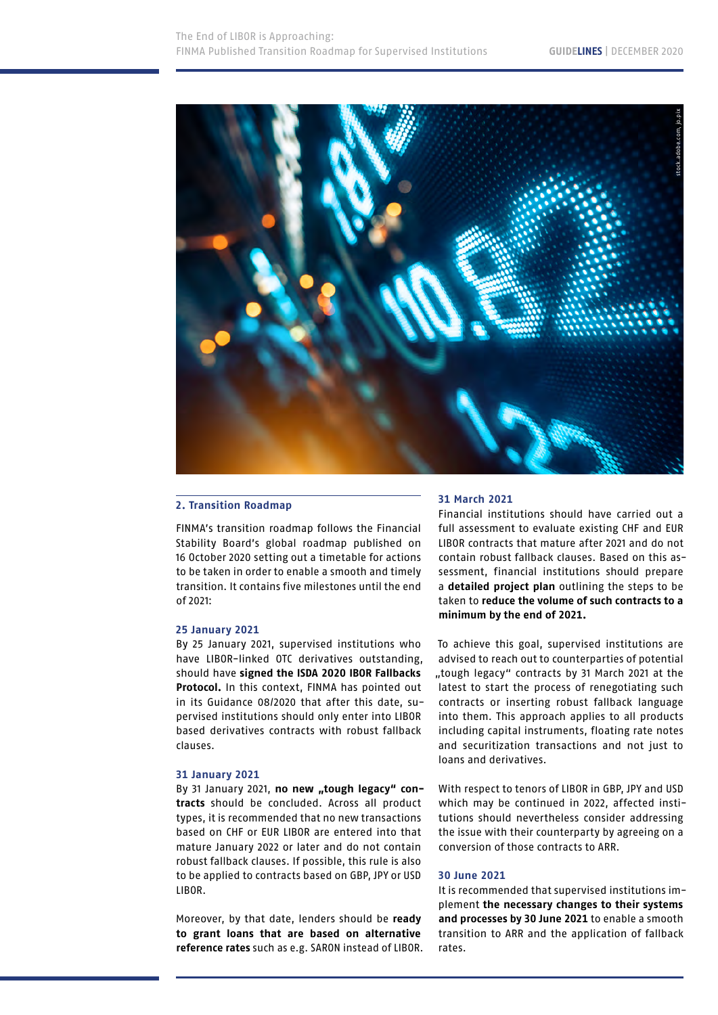

### **2. Transition Roadmap**

FINMA's transition roadmap follows the Financial Stability Board's global roadmap published on 16 October 2020 setting out a timetable for actions to be taken in order to enable a smooth and timely transition. It contains five milestones until the end  $of 2021$ 

#### **25 January 2021**

By 25 January 2021, supervised institutions who have LIBOR-linked OTC derivatives outstanding, should have **signed the ISDA 2020 IBOR Fallbacks Protocol.** In this context, FINMA has pointed out in its Guidance 08/2020 that after this date, supervised institutions should only enter into LIBOR based derivatives contracts with robust fallback clauses.

#### **31 January 2021**

By 31 January 2021, no new "tough legacy" con**tracts** should be concluded. Across all product types, it is recommended that no new transactions based on CHF or EUR LIBOR are entered into that mature January 2022 or later and do not contain robust fallback clauses. If possible, this rule is also to be applied to contracts based on GBP, JPY or USD LIBOR.

Moreover, by that date, lenders should be **ready to grant loans that are based on alternative reference rates** such as e.g. SARON instead of LIBOR.

# **31 March 2021**

Financial institutions should have carried out a full assessment to evaluate existing CHF and EUR LIBOR contracts that mature after 2021 and do not contain robust fallback clauses. Based on this assessment, financial institutions should prepare a **detailed project plan** outlining the steps to be taken to **reduce the volume of such contracts to a minimum by the end of 2021.**

To achieve this goal, supervised institutions are advised to reach out to counterparties of potential "tough legacy" contracts by 31 March 2021 at the latest to start the process of renegotiating such contracts or inserting robust fallback language into them. This approach applies to all products including capital instruments, floating rate notes and securitization transactions and not just to loans and derivatives.

With respect to tenors of LIBOR in GBP, JPY and USD which may be continued in 2022, affected institutions should nevertheless consider addressing the issue with their counterparty by agreeing on a conversion of those contracts to ARR.

#### **30 June 2021**

It is recommended that supervised institutions implement **the necessary changes to their systems and processes by 30 June 2021** to enable a smooth transition to ARR and the application of fallback rates.